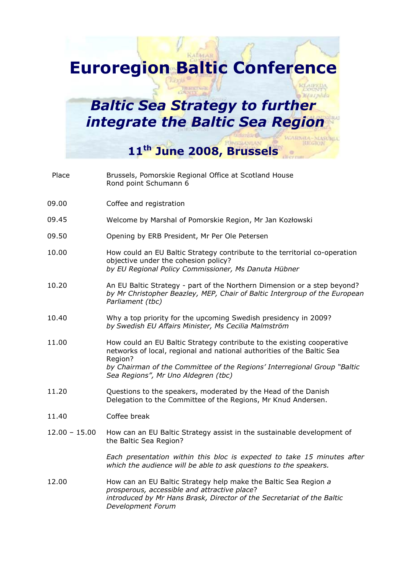## Euroregion Baltic Conference

## **Baltic Sea Strategy to further** integrate the Baltic Sea Region

11<sup>th</sup> June 2008, Brussels

| Place           | Brussels, Pomorskie Regional Office at Scotland House<br>Rond point Schumann 6                                                                                                                                                                                                 |
|-----------------|--------------------------------------------------------------------------------------------------------------------------------------------------------------------------------------------------------------------------------------------------------------------------------|
| 09.00           | Coffee and registration                                                                                                                                                                                                                                                        |
| 09.45           | Welcome by Marshal of Pomorskie Region, Mr Jan Kozłowski                                                                                                                                                                                                                       |
| 09.50           | Opening by ERB President, Mr Per Ole Petersen                                                                                                                                                                                                                                  |
| 10.00           | How could an EU Baltic Strategy contribute to the territorial co-operation<br>objective under the cohesion policy?<br>by EU Regional Policy Commissioner, Ms Danuta Hübner                                                                                                     |
| 10.20           | An EU Baltic Strategy - part of the Northern Dimension or a step beyond?<br>by Mr Christopher Beazley, MEP, Chair of Baltic Intergroup of the European<br>Parliament (tbc)                                                                                                     |
| 10.40           | Why a top priority for the upcoming Swedish presidency in 2009?<br>by Swedish EU Affairs Minister, Ms Cecilia Malmström                                                                                                                                                        |
| 11.00           | How could an EU Baltic Strategy contribute to the existing cooperative<br>networks of local, regional and national authorities of the Baltic Sea<br>Region?<br>by Chairman of the Committee of the Regions' Interregional Group "Baltic<br>Sea Regions", Mr Uno Aldegren (tbc) |
| 11.20           | Questions to the speakers, moderated by the Head of the Danish                                                                                                                                                                                                                 |
|                 | Delegation to the Committee of the Regions, Mr Knud Andersen.                                                                                                                                                                                                                  |
| 11.40           | Coffee break                                                                                                                                                                                                                                                                   |
| $12.00 - 15.00$ | How can an EU Baltic Strategy assist in the sustainable development of<br>the Baltic Sea Region?                                                                                                                                                                               |
|                 | Each presentation within this bloc is expected to take 15 minutes after<br>which the audience will be able to ask questions to the speakers.                                                                                                                                   |
| 12.00           | How can an EU Baltic Strategy help make the Baltic Sea Region a<br>prosperous, accessible and attractive place?<br>introduced by Mr Hans Brask, Director of the Secretariat of the Baltic<br>Development Forum                                                                 |
|                 |                                                                                                                                                                                                                                                                                |